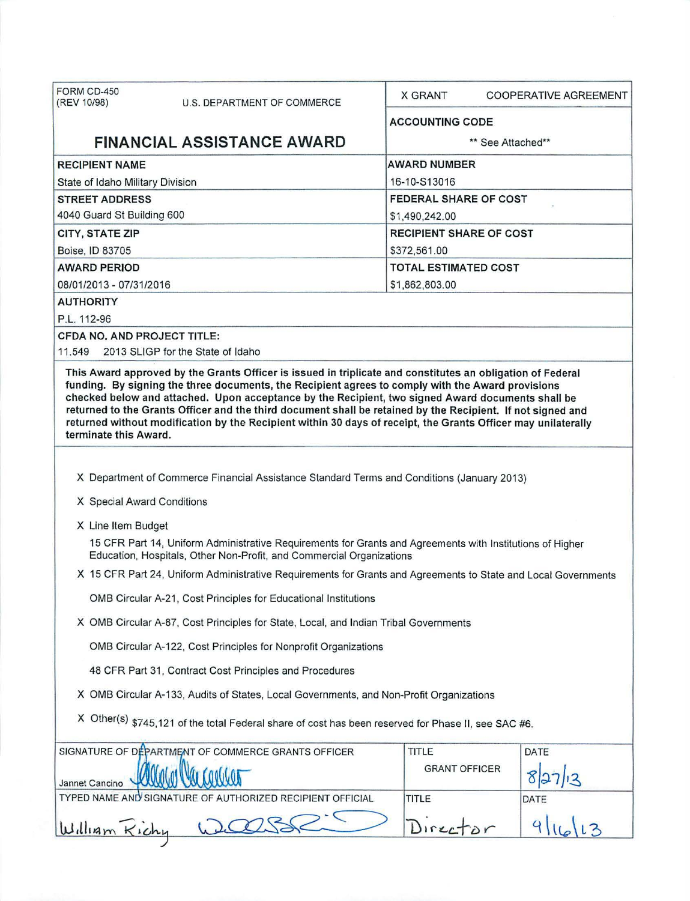| FORM CD-450<br>(REV 10/98)                                                                                                                                                                                                                                                                                                                                                                                                                                                                                                                                                    | U.S. DEPARTMENT OF COMMERCE                                                                                                                                                       | X GRANT                        | <b>COOPERATIVE AGREEMENT</b> |  |  |
|-------------------------------------------------------------------------------------------------------------------------------------------------------------------------------------------------------------------------------------------------------------------------------------------------------------------------------------------------------------------------------------------------------------------------------------------------------------------------------------------------------------------------------------------------------------------------------|-----------------------------------------------------------------------------------------------------------------------------------------------------------------------------------|--------------------------------|------------------------------|--|--|
|                                                                                                                                                                                                                                                                                                                                                                                                                                                                                                                                                                               |                                                                                                                                                                                   | <b>ACCOUNTING CODE</b>         |                              |  |  |
| <b>FINANCIAL ASSISTANCE AWARD</b>                                                                                                                                                                                                                                                                                                                                                                                                                                                                                                                                             |                                                                                                                                                                                   | ** See Attached**              |                              |  |  |
| <b>RECIPIENT NAME</b>                                                                                                                                                                                                                                                                                                                                                                                                                                                                                                                                                         |                                                                                                                                                                                   | <b>AWARD NUMBER</b>            |                              |  |  |
| State of Idaho Military Division                                                                                                                                                                                                                                                                                                                                                                                                                                                                                                                                              |                                                                                                                                                                                   | 16-10-S13016                   |                              |  |  |
| <b>STREET ADDRESS</b>                                                                                                                                                                                                                                                                                                                                                                                                                                                                                                                                                         |                                                                                                                                                                                   | FEDERAL SHARE OF COST          |                              |  |  |
| 4040 Guard St Building 600                                                                                                                                                                                                                                                                                                                                                                                                                                                                                                                                                    |                                                                                                                                                                                   | \$1,490,242.00                 |                              |  |  |
| <b>CITY, STATE ZIP</b>                                                                                                                                                                                                                                                                                                                                                                                                                                                                                                                                                        |                                                                                                                                                                                   | <b>RECIPIENT SHARE OF COST</b> |                              |  |  |
| Boise, ID 83705                                                                                                                                                                                                                                                                                                                                                                                                                                                                                                                                                               |                                                                                                                                                                                   | \$372,561.00                   |                              |  |  |
| <b>AWARD PERIOD</b>                                                                                                                                                                                                                                                                                                                                                                                                                                                                                                                                                           |                                                                                                                                                                                   | <b>TOTAL ESTIMATED COST</b>    |                              |  |  |
| 08/01/2013 - 07/31/2016                                                                                                                                                                                                                                                                                                                                                                                                                                                                                                                                                       |                                                                                                                                                                                   | \$1,862,803.00                 |                              |  |  |
| <b>AUTHORITY</b>                                                                                                                                                                                                                                                                                                                                                                                                                                                                                                                                                              |                                                                                                                                                                                   |                                |                              |  |  |
| P.L. 112-96                                                                                                                                                                                                                                                                                                                                                                                                                                                                                                                                                                   |                                                                                                                                                                                   |                                |                              |  |  |
| <b>CFDA NO. AND PROJECT TITLE:</b>                                                                                                                                                                                                                                                                                                                                                                                                                                                                                                                                            |                                                                                                                                                                                   |                                |                              |  |  |
| 11.549                                                                                                                                                                                                                                                                                                                                                                                                                                                                                                                                                                        | 2013 SLIGP for the State of Idaho                                                                                                                                                 |                                |                              |  |  |
| This Award approved by the Grants Officer is issued in triplicate and constitutes an obligation of Federal<br>funding. By signing the three documents, the Recipient agrees to comply with the Award provisions<br>checked below and attached. Upon acceptance by the Recipient, two signed Award documents shall be<br>returned to the Grants Officer and the third document shall be retained by the Recipient. If not signed and<br>returned without modification by the Recipient within 30 days of receipt, the Grants Officer may unilaterally<br>terminate this Award. |                                                                                                                                                                                   |                                |                              |  |  |
|                                                                                                                                                                                                                                                                                                                                                                                                                                                                                                                                                                               |                                                                                                                                                                                   |                                |                              |  |  |
| X Department of Commerce Financial Assistance Standard Terms and Conditions (January 2013)                                                                                                                                                                                                                                                                                                                                                                                                                                                                                    |                                                                                                                                                                                   |                                |                              |  |  |
| X Special Award Conditions                                                                                                                                                                                                                                                                                                                                                                                                                                                                                                                                                    |                                                                                                                                                                                   |                                |                              |  |  |
| X Line Item Budget                                                                                                                                                                                                                                                                                                                                                                                                                                                                                                                                                            |                                                                                                                                                                                   |                                |                              |  |  |
|                                                                                                                                                                                                                                                                                                                                                                                                                                                                                                                                                                               | 15 CFR Part 14, Uniform Administrative Requirements for Grants and Agreements with Institutions of Higher<br>Education, Hospitals, Other Non-Profit, and Commercial Organizations |                                |                              |  |  |
| X 15 CFR Part 24, Uniform Administrative Requirements for Grants and Agreements to State and Local Governments                                                                                                                                                                                                                                                                                                                                                                                                                                                                |                                                                                                                                                                                   |                                |                              |  |  |
|                                                                                                                                                                                                                                                                                                                                                                                                                                                                                                                                                                               | OMB Circular A-21, Cost Principles for Educational Institutions                                                                                                                   |                                |                              |  |  |
| X OMB Circular A-87, Cost Principles for State, Local, and Indian Tribal Governments                                                                                                                                                                                                                                                                                                                                                                                                                                                                                          |                                                                                                                                                                                   |                                |                              |  |  |
| OMB Circular A-122, Cost Principles for Nonprofit Organizations                                                                                                                                                                                                                                                                                                                                                                                                                                                                                                               |                                                                                                                                                                                   |                                |                              |  |  |
| 48 CFR Part 31, Contract Cost Principles and Procedures                                                                                                                                                                                                                                                                                                                                                                                                                                                                                                                       |                                                                                                                                                                                   |                                |                              |  |  |
| X OMB Circular A-133, Audits of States, Local Governments, and Non-Profit Organizations                                                                                                                                                                                                                                                                                                                                                                                                                                                                                       |                                                                                                                                                                                   |                                |                              |  |  |
| X Other(s) \$745,121 of the total Federal share of cost has been reserved for Phase II, see SAC #6.                                                                                                                                                                                                                                                                                                                                                                                                                                                                           |                                                                                                                                                                                   |                                |                              |  |  |
|                                                                                                                                                                                                                                                                                                                                                                                                                                                                                                                                                                               | SIGNATURE OF DEPARTMENT OF COMMERCE GRANTS OFFICER                                                                                                                                | TITLE                          | DATE                         |  |  |
| Jannet Cancino                                                                                                                                                                                                                                                                                                                                                                                                                                                                                                                                                                |                                                                                                                                                                                   | <b>GRANT OFFICER</b>           |                              |  |  |
|                                                                                                                                                                                                                                                                                                                                                                                                                                                                                                                                                                               | TYPED NAME AND SIGNATURE OF AUTHORIZED RECIPIENT OFFICIAL                                                                                                                         | <b>TITLE</b>                   | DATE                         |  |  |
| William Kichy                                                                                                                                                                                                                                                                                                                                                                                                                                                                                                                                                                 |                                                                                                                                                                                   | Direct                         | 9                            |  |  |